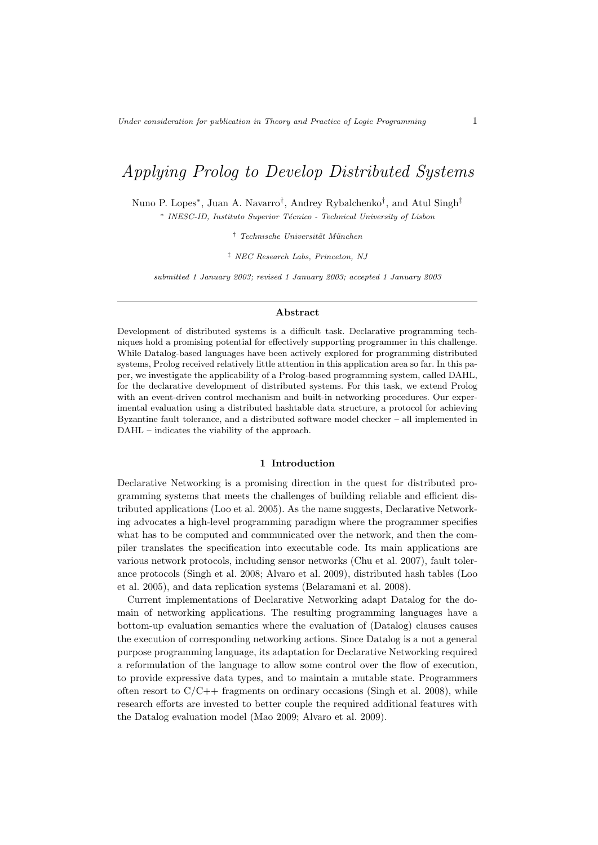# Applying Prolog to Develop Distributed Systems

Nuno P. Lopes<sup>\*</sup>, Juan A. Navarro<sup>†</sup>, Andrey Rybalchenko<sup>†</sup>, and Atul Singh<sup>‡</sup> <sup>∗</sup> INESC-ID, Instituto Superior T´ecnico - Technical University of Lisbon

<sup>†</sup> Technische Universität München

‡ NEC Research Labs, Princeton, NJ

submitted 1 January 2003; revised 1 January 2003; accepted 1 January 2003

## Abstract

Development of distributed systems is a difficult task. Declarative programming techniques hold a promising potential for effectively supporting programmer in this challenge. While Datalog-based languages have been actively explored for programming distributed systems, Prolog received relatively little attention in this application area so far. In this paper, we investigate the applicability of a Prolog-based programming system, called DAHL, for the declarative development of distributed systems. For this task, we extend Prolog with an event-driven control mechanism and built-in networking procedures. Our experimental evaluation using a distributed hashtable data structure, a protocol for achieving Byzantine fault tolerance, and a distributed software model checker – all implemented in DAHL – indicates the viability of the approach.

#### 1 Introduction

Declarative Networking is a promising direction in the quest for distributed programming systems that meets the challenges of building reliable and efficient distributed applications (Loo et al. 2005). As the name suggests, Declarative Networking advocates a high-level programming paradigm where the programmer specifies what has to be computed and communicated over the network, and then the compiler translates the specification into executable code. Its main applications are various network protocols, including sensor networks (Chu et al. 2007), fault tolerance protocols (Singh et al. 2008; Alvaro et al. 2009), distributed hash tables (Loo et al. 2005), and data replication systems (Belaramani et al. 2008).

Current implementations of Declarative Networking adapt Datalog for the domain of networking applications. The resulting programming languages have a bottom-up evaluation semantics where the evaluation of (Datalog) clauses causes the execution of corresponding networking actions. Since Datalog is a not a general purpose programming language, its adaptation for Declarative Networking required a reformulation of the language to allow some control over the flow of execution, to provide expressive data types, and to maintain a mutable state. Programmers often resort to  $C/C++$  fragments on ordinary occasions (Singh et al. 2008), while research efforts are invested to better couple the required additional features with the Datalog evaluation model (Mao 2009; Alvaro et al. 2009).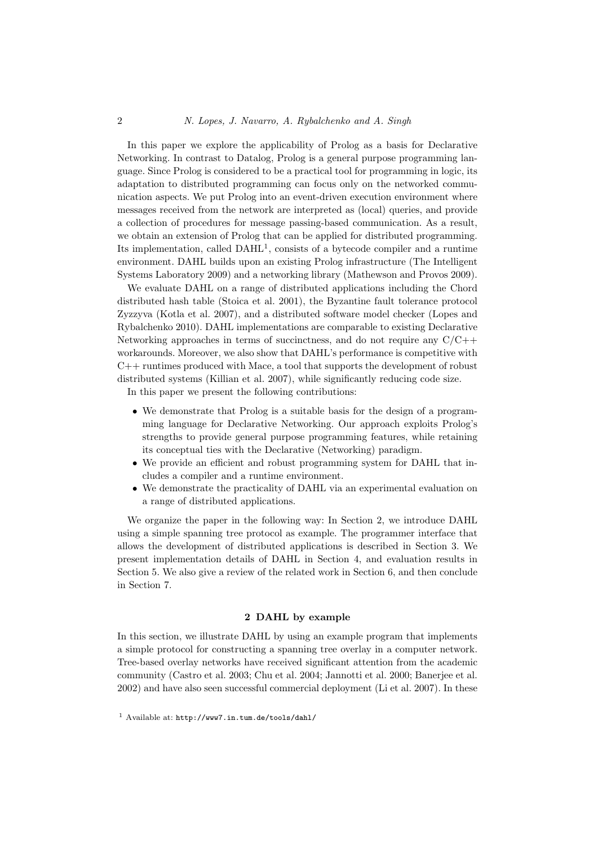In this paper we explore the applicability of Prolog as a basis for Declarative Networking. In contrast to Datalog, Prolog is a general purpose programming language. Since Prolog is considered to be a practical tool for programming in logic, its adaptation to distributed programming can focus only on the networked communication aspects. We put Prolog into an event-driven execution environment where messages received from the network are interpreted as (local) queries, and provide a collection of procedures for message passing-based communication. As a result, we obtain an extension of Prolog that can be applied for distributed programming. Its implementation, called  $DAHL<sup>1</sup>$ , consists of a bytecode compiler and a runtime environment. DAHL builds upon an existing Prolog infrastructure (The Intelligent Systems Laboratory 2009) and a networking library (Mathewson and Provos 2009).

We evaluate DAHL on a range of distributed applications including the Chord distributed hash table (Stoica et al. 2001), the Byzantine fault tolerance protocol Zyzzyva (Kotla et al. 2007), and a distributed software model checker (Lopes and Rybalchenko 2010). DAHL implementations are comparable to existing Declarative Networking approaches in terms of succinctness, and do not require any  $C/C++$ workarounds. Moreover, we also show that DAHL's performance is competitive with C++ runtimes produced with Mace, a tool that supports the development of robust distributed systems (Killian et al. 2007), while significantly reducing code size.

In this paper we present the following contributions:

- We demonstrate that Prolog is a suitable basis for the design of a programming language for Declarative Networking. Our approach exploits Prolog's strengths to provide general purpose programming features, while retaining its conceptual ties with the Declarative (Networking) paradigm.
- We provide an efficient and robust programming system for DAHL that includes a compiler and a runtime environment.
- We demonstrate the practicality of DAHL via an experimental evaluation on a range of distributed applications.

We organize the paper in the following way: In Section 2, we introduce DAHL using a simple spanning tree protocol as example. The programmer interface that allows the development of distributed applications is described in Section 3. We present implementation details of DAHL in Section 4, and evaluation results in Section 5. We also give a review of the related work in Section 6, and then conclude in Section 7.

# 2 DAHL by example

In this section, we illustrate DAHL by using an example program that implements a simple protocol for constructing a spanning tree overlay in a computer network. Tree-based overlay networks have received significant attention from the academic community (Castro et al. 2003; Chu et al. 2004; Jannotti et al. 2000; Banerjee et al. 2002) and have also seen successful commercial deployment (Li et al. 2007). In these

<sup>1</sup> Available at: http://www7.in.tum.de/tools/dahl/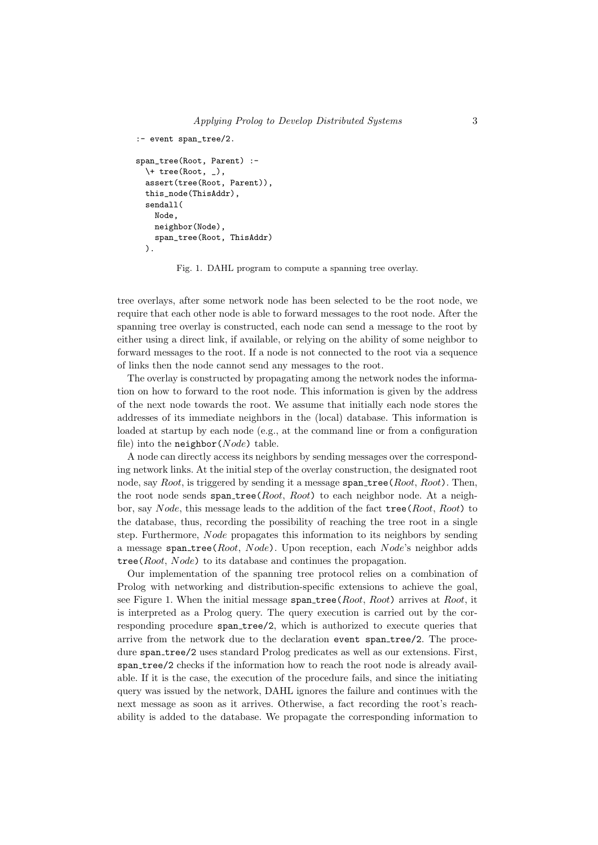```
:- event span_tree/2.
span_tree(Root, Parent) :-
  \setminus + tree(Root, \_),
  assert(tree(Root, Parent)),
  this_node(ThisAddr),
  sendall(
    Node,
    neighbor(Node),
    span_tree(Root, ThisAddr)
  ).
```
Fig. 1. DAHL program to compute a spanning tree overlay.

tree overlays, after some network node has been selected to be the root node, we require that each other node is able to forward messages to the root node. After the spanning tree overlay is constructed, each node can send a message to the root by either using a direct link, if available, or relying on the ability of some neighbor to forward messages to the root. If a node is not connected to the root via a sequence of links then the node cannot send any messages to the root.

The overlay is constructed by propagating among the network nodes the information on how to forward to the root node. This information is given by the address of the next node towards the root. We assume that initially each node stores the addresses of its immediate neighbors in the (local) database. This information is loaded at startup by each node (e.g., at the command line or from a configuration file) into the neighbor  $(Node)$  table.

A node can directly access its neighbors by sending messages over the corresponding network links. At the initial step of the overlay construction, the designated root node, say Root, is triggered by sending it a message span\_tree( $Root, Root$ ). Then, the root node sends span\_tree( $Root, Root$ ) to each neighbor node. At a neighbor, say *Node*, this message leads to the addition of the fact tree(Root, Root) to the database, thus, recording the possibility of reaching the tree root in a single step. Furthermore, Node propagates this information to its neighbors by sending a message span\_tree( $Root, Node$ ). Upon reception, each  $Node$ 's neighbor adds tree(Root, Node) to its database and continues the propagation.

Our implementation of the spanning tree protocol relies on a combination of Prolog with networking and distribution-specific extensions to achieve the goal, see Figure 1. When the initial message span\_tree( $Root, Root$ ) arrives at  $Root$ , it is interpreted as a Prolog query. The query execution is carried out by the corresponding procedure span tree/2, which is authorized to execute queries that arrive from the network due to the declaration event span tree/2. The procedure span\_tree/2 uses standard Prolog predicates as well as our extensions. First, span tree/2 checks if the information how to reach the root node is already available. If it is the case, the execution of the procedure fails, and since the initiating query was issued by the network, DAHL ignores the failure and continues with the next message as soon as it arrives. Otherwise, a fact recording the root's reachability is added to the database. We propagate the corresponding information to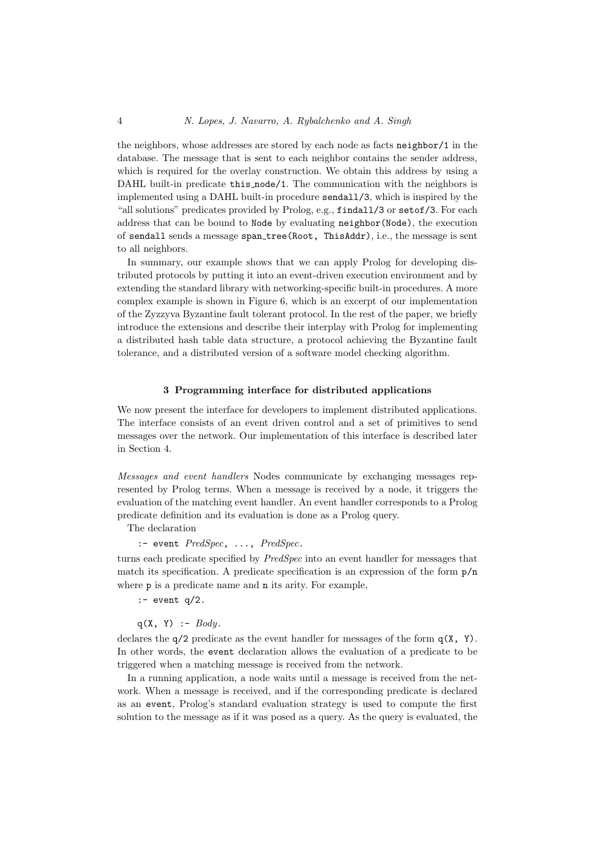the neighbors, whose addresses are stored by each node as facts neighbor/1 in the database. The message that is sent to each neighbor contains the sender address, which is required for the overlay construction. We obtain this address by using a DAHL built-in predicate this node/1. The communication with the neighbors is implemented using a DAHL built-in procedure sendall/3, which is inspired by the "all solutions" predicates provided by Prolog, e.g., findall/3 or setof/3. For each address that can be bound to Node by evaluating neighbor(Node), the execution of sendall sends a message span tree(Root, ThisAddr), i.e., the message is sent to all neighbors.

In summary, our example shows that we can apply Prolog for developing distributed protocols by putting it into an event-driven execution environment and by extending the standard library with networking-specific built-in procedures. A more complex example is shown in Figure 6, which is an excerpt of our implementation of the Zyzzyva Byzantine fault tolerant protocol. In the rest of the paper, we briefly introduce the extensions and describe their interplay with Prolog for implementing a distributed hash table data structure, a protocol achieving the Byzantine fault tolerance, and a distributed version of a software model checking algorithm.

# 3 Programming interface for distributed applications

We now present the interface for developers to implement distributed applications. The interface consists of an event driven control and a set of primitives to send messages over the network. Our implementation of this interface is described later in Section 4.

Messages and event handlers Nodes communicate by exchanging messages represented by Prolog terms. When a message is received by a node, it triggers the evaluation of the matching event handler. An event handler corresponds to a Prolog predicate definition and its evaluation is done as a Prolog query.

The declaration

:- event PredSpec, ..., PredSpec.

turns each predicate specified by PredSpec into an event handler for messages that match its specification. A predicate specification is an expression of the form  $p/n$ where p is a predicate name and n its arity. For example,

 $:=$  event  $a/2$ .

 $q(X, Y)$  :-  $Body$ .

declares the  $q/2$  predicate as the event handler for messages of the form  $q(X, Y)$ . In other words, the event declaration allows the evaluation of a predicate to be triggered when a matching message is received from the network.

In a running application, a node waits until a message is received from the network. When a message is received, and if the corresponding predicate is declared as an event, Prolog's standard evaluation strategy is used to compute the first solution to the message as if it was posed as a query. As the query is evaluated, the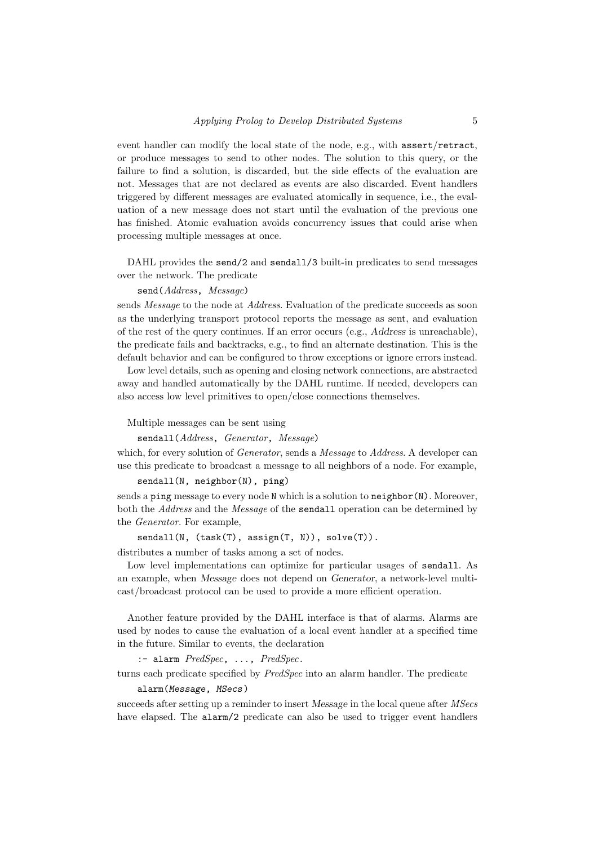event handler can modify the local state of the node, e.g., with assert/retract, or produce messages to send to other nodes. The solution to this query, or the failure to find a solution, is discarded, but the side effects of the evaluation are not. Messages that are not declared as events are also discarded. Event handlers triggered by different messages are evaluated atomically in sequence, i.e., the evaluation of a new message does not start until the evaluation of the previous one has finished. Atomic evaluation avoids concurrency issues that could arise when processing multiple messages at once.

DAHL provides the send/2 and sendall/3 built-in predicates to send messages over the network. The predicate

send(Address, Message)

sends Message to the node at Address. Evaluation of the predicate succeeds as soon as the underlying transport protocol reports the message as sent, and evaluation of the rest of the query continues. If an error occurs (e.g., Address is unreachable), the predicate fails and backtracks, e.g., to find an alternate destination. This is the default behavior and can be configured to throw exceptions or ignore errors instead.

Low level details, such as opening and closing network connections, are abstracted away and handled automatically by the DAHL runtime. If needed, developers can also access low level primitives to open/close connections themselves.

Multiple messages can be sent using

sendall(Address, Generator, Message)

which, for every solution of *Generator*, sends a *Message* to *Address*. A developer can use this predicate to broadcast a message to all neighbors of a node. For example,

```
sendall(N, neighbor(N), ping)
```
sends a ping message to every node N which is a solution to neighbor(N). Moreover, both the Address and the Message of the sendall operation can be determined by the Generator. For example,

```
sendall(N, (task(T), assign(T, N)), solve(T)).
```
distributes a number of tasks among a set of nodes.

Low level implementations can optimize for particular usages of sendall. As an example, when Message does not depend on Generator, a network-level multicast/broadcast protocol can be used to provide a more efficient operation.

Another feature provided by the DAHL interface is that of alarms. Alarms are used by nodes to cause the evaluation of a local event handler at a specified time in the future. Similar to events, the declaration

:- alarm PredSpec, ..., PredSpec.

turns each predicate specified by PredSpec into an alarm handler. The predicate

```
alarm(Message, MSecs)
```
succeeds after setting up a reminder to insert Message in the local queue after MSecs have elapsed. The **alarm**/2 predicate can also be used to trigger event handlers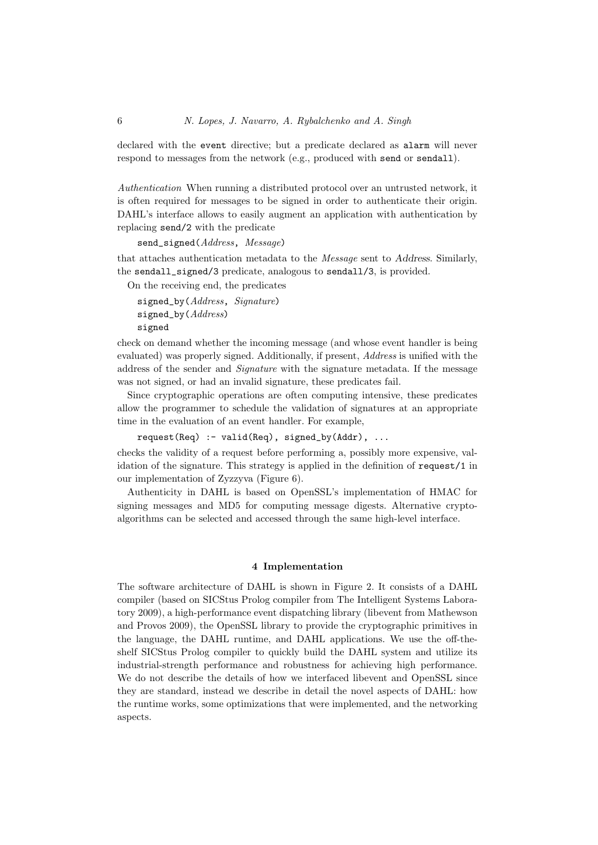declared with the event directive; but a predicate declared as alarm will never respond to messages from the network (e.g., produced with send or sendall).

Authentication When running a distributed protocol over an untrusted network, it is often required for messages to be signed in order to authenticate their origin. DAHL's interface allows to easily augment an application with authentication by replacing send/2 with the predicate

```
send_signed(Address, Message)
```
that attaches authentication metadata to the Message sent to Address. Similarly, the sendall\_signed/3 predicate, analogous to sendall/3, is provided.

On the receiving end, the predicates

```
signed_by(Address, Signature)
signed_by(Address)
signed
```
check on demand whether the incoming message (and whose event handler is being evaluated) was properly signed. Additionally, if present, Address is unified with the address of the sender and *Signature* with the signature metadata. If the message was not signed, or had an invalid signature, these predicates fail.

Since cryptographic operations are often computing intensive, these predicates allow the programmer to schedule the validation of signatures at an appropriate time in the evaluation of an event handler. For example,

 $request(Req) :- valid(Req), signed_by(Addr), ...$ 

checks the validity of a request before performing a, possibly more expensive, validation of the signature. This strategy is applied in the definition of request/1 in our implementation of Zyzzyva (Figure 6).

Authenticity in DAHL is based on OpenSSL's implementation of HMAC for signing messages and MD5 for computing message digests. Alternative cryptoalgorithms can be selected and accessed through the same high-level interface.

## 4 Implementation

The software architecture of DAHL is shown in Figure 2. It consists of a DAHL compiler (based on SICStus Prolog compiler from The Intelligent Systems Laboratory 2009), a high-performance event dispatching library (libevent from Mathewson and Provos 2009), the OpenSSL library to provide the cryptographic primitives in the language, the DAHL runtime, and DAHL applications. We use the off-theshelf SICStus Prolog compiler to quickly build the DAHL system and utilize its industrial-strength performance and robustness for achieving high performance. We do not describe the details of how we interfaced libevent and OpenSSL since they are standard, instead we describe in detail the novel aspects of DAHL: how the runtime works, some optimizations that were implemented, and the networking aspects.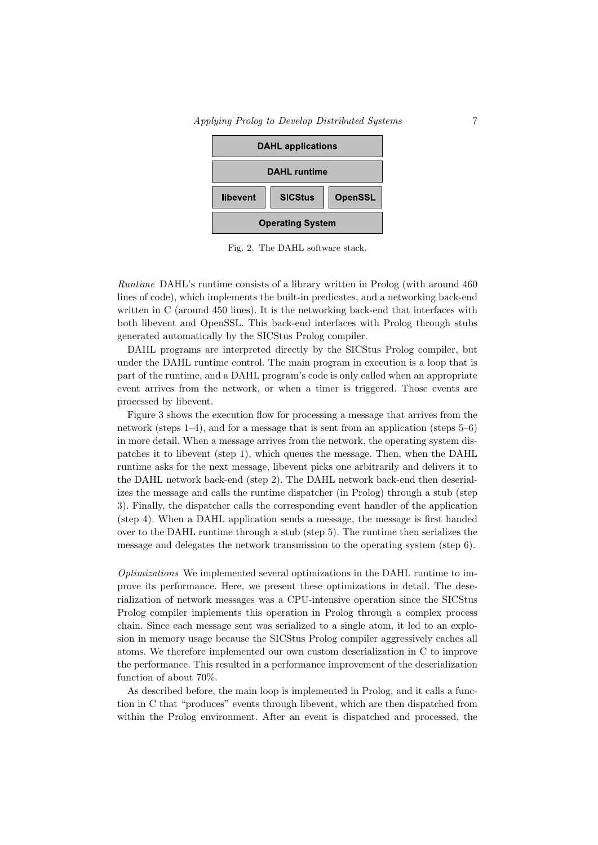

Fig. 2. The DAHL software stack.

Runtime DAHL's runtime consists of a library written in Prolog (with around 460 lines of code), which implements the built-in predicates, and a networking back-end written in C (around 450 lines). It is the networking back-end that interfaces with both libevent and OpenSSL. This back-end interfaces with Prolog through stubs generated automatically by the SICStus Prolog compiler.

DAHL programs are interpreted directly by the SICStus Prolog compiler, but under the DAHL runtime control. The main program in execution is a loop that is part of the runtime, and a DAHL program's code is only called when an appropriate event arrives from the network, or when a timer is triggered. Those events are processed by libevent.

Figure 3 shows the execution flow for processing a message that arrives from the network (steps 1–4), and for a message that is sent from an application (steps 5–6) in more detail. When a message arrives from the network, the operating system dispatches it to libevent (step 1), which queues the message. Then, when the DAHL runtime asks for the next message, libevent picks one arbitrarily and delivers it to the DAHL network back-end (step 2). The DAHL network back-end then deserializes the message and calls the runtime dispatcher (in Prolog) through a stub (step 3). Finally, the dispatcher calls the corresponding event handler of the application (step 4). When a DAHL application sends a message, the message is first handed over to the DAHL runtime through a stub (step 5). The runtime then serializes the message and delegates the network transmission to the operating system (step 6).

Optimizations We implemented several optimizations in the DAHL runtime to improve its performance. Here, we present these optimizations in detail. The deserialization of network messages was a CPU-intensive operation since the SICStus Prolog compiler implements this operation in Prolog through a complex process chain. Since each message sent was serialized to a single atom, it led to an explosion in memory usage because the SICStus Prolog compiler aggressively caches all atoms. We therefore implemented our own custom deserialization in C to improve the performance. This resulted in a performance improvement of the deserialization function of about 70%.

As described before, the main loop is implemented in Prolog, and it calls a function in C that "produces" events through libevent, which are then dispatched from within the Prolog environment. After an event is dispatched and processed, the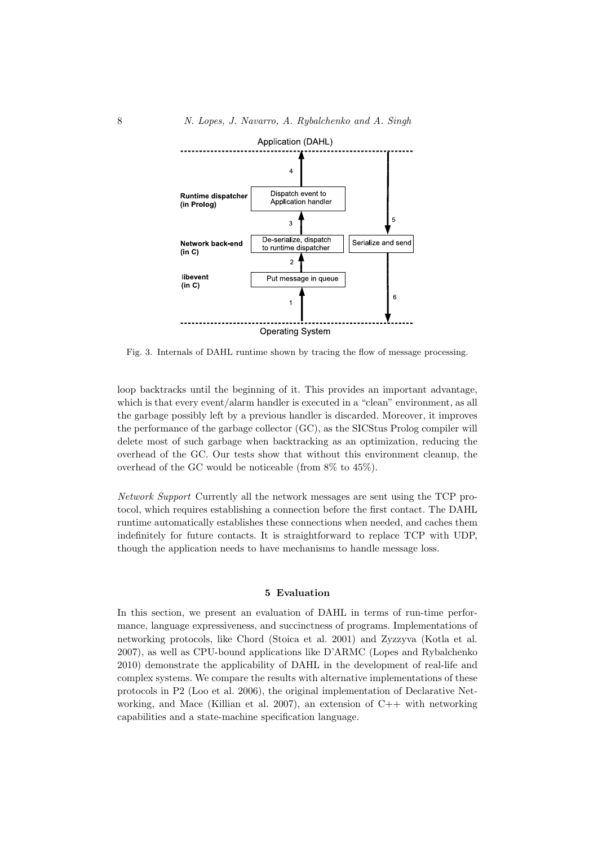

Fig. 3. Internals of DAHL runtime shown by tracing the flow of message processing.

loop backtracks until the beginning of it. This provides an important advantage, which is that every event/alarm handler is executed in a "clean" environment, as all the garbage possibly left by a previous handler is discarded. Moreover, it improves the performance of the garbage collector (GC), as the SICStus Prolog compiler will delete most of such garbage when backtracking as an optimization, reducing the overhead of the GC. Our tests show that without this environment cleanup, the overhead of the GC would be noticeable (from 8% to 45%).

Network Support Currently all the network messages are sent using the TCP protocol, which requires establishing a connection before the first contact. The DAHL runtime automatically establishes these connections when needed, and caches them indefinitely for future contacts. It is straightforward to replace TCP with UDP, though the application needs to have mechanisms to handle message loss.

## 5 Evaluation

In this section, we present an evaluation of DAHL in terms of run-time performance, language expressiveness, and succinctness of programs. Implementations of networking protocols, like Chord (Stoica et al. 2001) and Zyzzyva (Kotla et al. 2007), as well as CPU-bound applications like D'ARMC (Lopes and Rybalchenko 2010) demonstrate the applicability of DAHL in the development of real-life and complex systems. We compare the results with alternative implementations of these protocols in P2 (Loo et al. 2006), the original implementation of Declarative Networking, and Mace (Killian et al. 2007), an extension of  $C_{++}$  with networking capabilities and a state-machine specification language.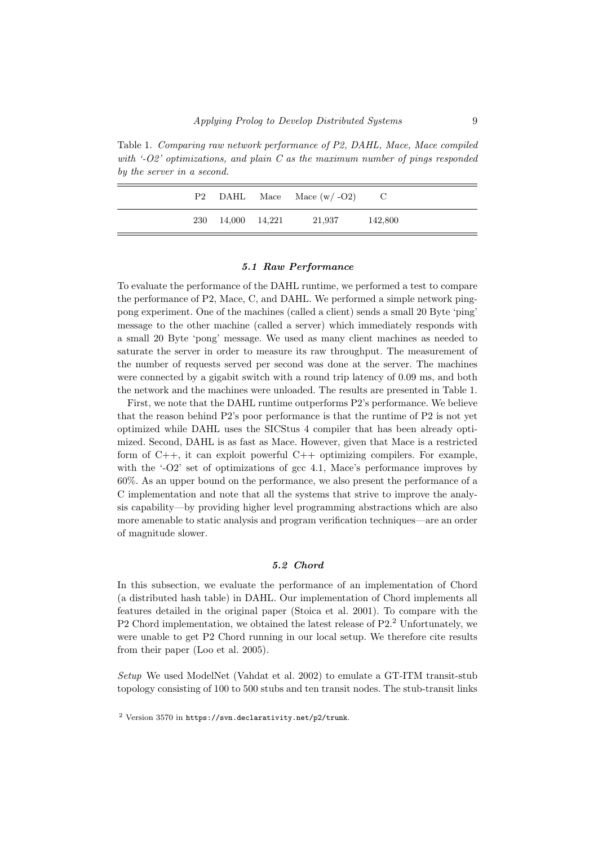Table 1. Comparing raw network performance of P2, DAHL, Mace, Mace compiled with '-O2' optimizations, and plain C as the maximum number of pings responded by the server in a second.

|  |                   | P2 DAHL Mace Mace $(w / -O2)$ | $\overline{C}$ |  |
|--|-------------------|-------------------------------|----------------|--|
|  | 230 14,000 14,221 | 21,937 142,800                |                |  |

#### 5.1 Raw Performance

To evaluate the performance of the DAHL runtime, we performed a test to compare the performance of P2, Mace, C, and DAHL. We performed a simple network pingpong experiment. One of the machines (called a client) sends a small 20 Byte 'ping' message to the other machine (called a server) which immediately responds with a small 20 Byte 'pong' message. We used as many client machines as needed to saturate the server in order to measure its raw throughput. The measurement of the number of requests served per second was done at the server. The machines were connected by a gigabit switch with a round trip latency of 0.09 ms, and both the network and the machines were unloaded. The results are presented in Table 1.

First, we note that the DAHL runtime outperforms P2's performance. We believe that the reason behind P2's poor performance is that the runtime of P2 is not yet optimized while DAHL uses the SICStus 4 compiler that has been already optimized. Second, DAHL is as fast as Mace. However, given that Mace is a restricted form of  $C_{++}$ , it can exploit powerful  $C_{++}$  optimizing compilers. For example, with the '-O2' set of optimizations of gcc 4.1, Mace's performance improves by 60%. As an upper bound on the performance, we also present the performance of a C implementation and note that all the systems that strive to improve the analysis capability—by providing higher level programming abstractions which are also more amenable to static analysis and program verification techniques—are an order of magnitude slower.

# 5.2 Chord

In this subsection, we evaluate the performance of an implementation of Chord (a distributed hash table) in DAHL. Our implementation of Chord implements all features detailed in the original paper (Stoica et al. 2001). To compare with the P2 Chord implementation, we obtained the latest release of P2.<sup>2</sup> Unfortunately, we were unable to get P2 Chord running in our local setup. We therefore cite results from their paper (Loo et al. 2005).

Setup We used ModelNet (Vahdat et al. 2002) to emulate a GT-ITM transit-stub topology consisting of 100 to 500 stubs and ten transit nodes. The stub-transit links

<sup>2</sup> Version 3570 in https://svn.declarativity.net/p2/trunk.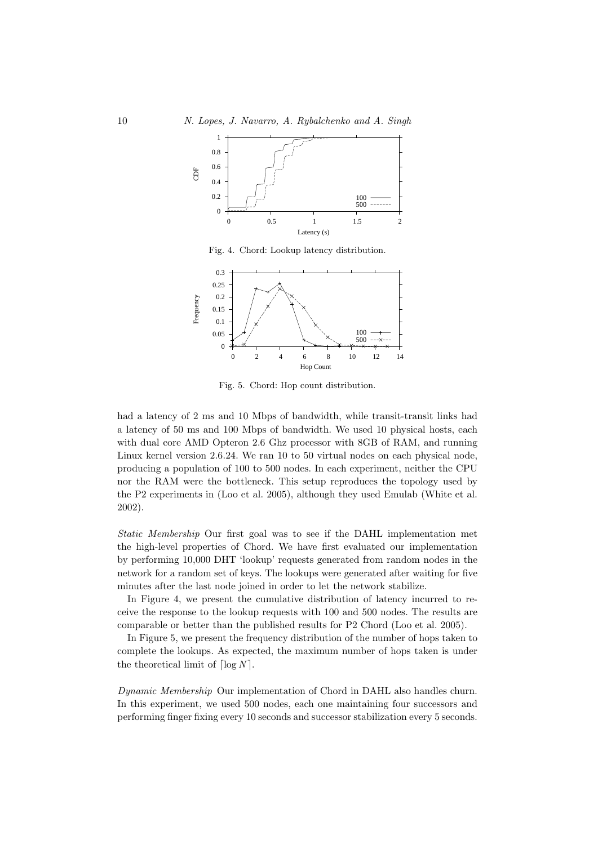

Fig. 4. Chord: Lookup latency distribution.



Fig. 5. Chord: Hop count distribution.

had a latency of 2 ms and 10 Mbps of bandwidth, while transit-transit links had a latency of 50 ms and 100 Mbps of bandwidth. We used 10 physical hosts, each with dual core AMD Opteron 2.6 Ghz processor with 8GB of RAM, and running Linux kernel version 2.6.24. We ran 10 to 50 virtual nodes on each physical node, producing a population of 100 to 500 nodes. In each experiment, neither the CPU nor the RAM were the bottleneck. This setup reproduces the topology used by the P2 experiments in (Loo et al. 2005), although they used Emulab (White et al. 2002).

Static Membership Our first goal was to see if the DAHL implementation met the high-level properties of Chord. We have first evaluated our implementation by performing 10,000 DHT 'lookup' requests generated from random nodes in the network for a random set of keys. The lookups were generated after waiting for five minutes after the last node joined in order to let the network stabilize.

In Figure 4, we present the cumulative distribution of latency incurred to receive the response to the lookup requests with 100 and 500 nodes. The results are comparable or better than the published results for P2 Chord (Loo et al. 2005).

In Figure 5, we present the frequency distribution of the number of hops taken to complete the lookups. As expected, the maximum number of hops taken is under the theoretical limit of  $\lceil \log N \rceil$ .

Dynamic Membership Our implementation of Chord in DAHL also handles churn. In this experiment, we used 500 nodes, each one maintaining four successors and performing finger fixing every 10 seconds and successor stabilization every 5 seconds.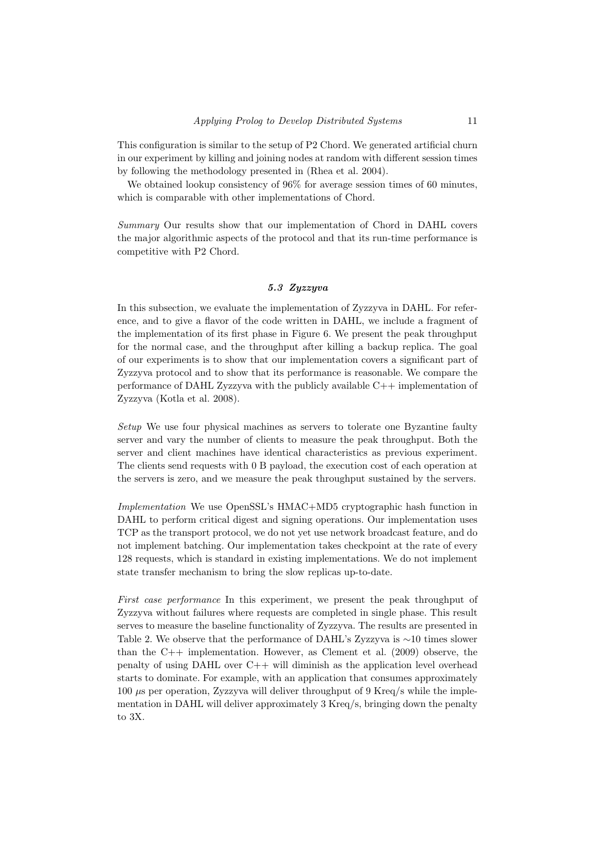This configuration is similar to the setup of P2 Chord. We generated artificial churn in our experiment by killing and joining nodes at random with different session times by following the methodology presented in (Rhea et al. 2004).

We obtained lookup consistency of 96% for average session times of 60 minutes, which is comparable with other implementations of Chord.

Summary Our results show that our implementation of Chord in DAHL covers the major algorithmic aspects of the protocol and that its run-time performance is competitive with P2 Chord.

# 5.3 Zyzzyva

In this subsection, we evaluate the implementation of Zyzzyva in DAHL. For reference, and to give a flavor of the code written in DAHL, we include a fragment of the implementation of its first phase in Figure 6. We present the peak throughput for the normal case, and the throughput after killing a backup replica. The goal of our experiments is to show that our implementation covers a significant part of Zyzzyva protocol and to show that its performance is reasonable. We compare the performance of DAHL Zyzzyva with the publicly available C++ implementation of Zyzzyva (Kotla et al. 2008).

Setup We use four physical machines as servers to tolerate one Byzantine faulty server and vary the number of clients to measure the peak throughput. Both the server and client machines have identical characteristics as previous experiment. The clients send requests with 0 B payload, the execution cost of each operation at the servers is zero, and we measure the peak throughput sustained by the servers.

Implementation We use OpenSSL's HMAC+MD5 cryptographic hash function in DAHL to perform critical digest and signing operations. Our implementation uses TCP as the transport protocol, we do not yet use network broadcast feature, and do not implement batching. Our implementation takes checkpoint at the rate of every 128 requests, which is standard in existing implementations. We do not implement state transfer mechanism to bring the slow replicas up-to-date.

First case performance In this experiment, we present the peak throughput of Zyzzyva without failures where requests are completed in single phase. This result serves to measure the baseline functionality of Zyzzyva. The results are presented in Table 2. We observe that the performance of DAHL's Zyzzyva is ∼10 times slower than the C++ implementation. However, as Clement et al. (2009) observe, the penalty of using DAHL over  $C++$  will diminish as the application level overhead starts to dominate. For example, with an application that consumes approximately 100  $\mu$ s per operation, Zyzzyva will deliver throughput of 9 Kreq/s while the implementation in DAHL will deliver approximately 3 Kreq/s, bringing down the penalty to 3X.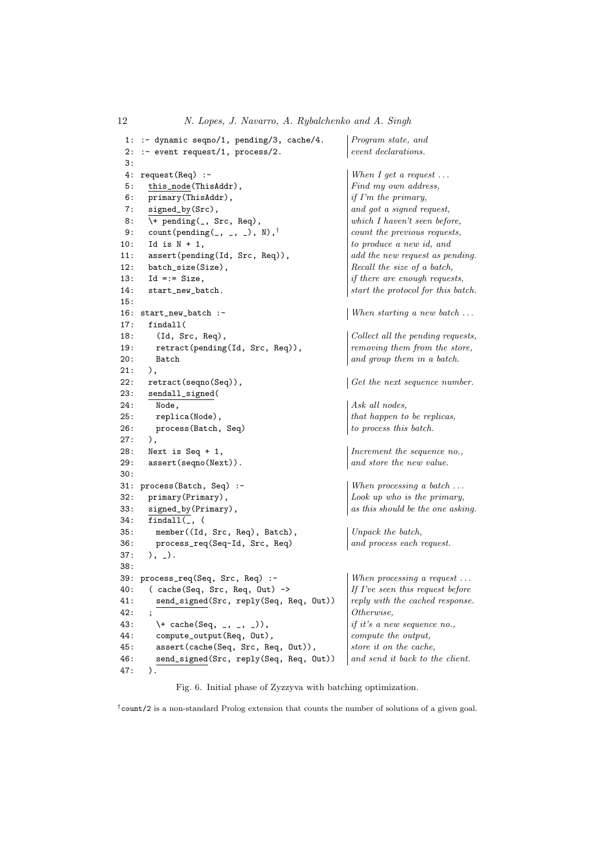```
1: :- dynamic seqno/1, pending/3, cache/4. | Program state, and
 2: :- event request/1, process/2. | event declarations.
 3:
 4: request(Req) :- \vert When I get a request ...
 5: \frac{\text{this\_node}(\text{ThisAddr})}{\text{primary}(\text{ThisAddr})}, \begin{cases} \text{Find } my \text{ own address,} \\ \text{if } I'm \text{ the primary.} \end{cases}6: primary(ThisAddr),
 7: signed_by(Src), and got a signed request,
 8: \overline{\ } \+ pending(_, Src, Req), \qquad which I haven't seen before,
9: count(pending(\_, \_, \_), N),<sup>†</sup>
                                               count the previous requests,
10: Id is N + 1, to produce a new id, and
11: assert(pending(Id, Src, Req)), add the new request as pending.
12: batch_size(Size), \vert Recall the size of a batch,
13: Id =:= Size, \begin{cases} \text{if there are enough requests,} \\ \text{if there are enough requests,} \end{cases}14: start_new_batch. start the protocol for this batch.
15:
16: start_new_batch :- <br> When starting a new batch ...
17: findall(
18: (Id, Src, Req), \qquad \qquad Collect all the pending requests,
19: retract(pending(Id, Src, Req)), removing them from the store,
20: Batch \int and group them in a batch.
21: ).
22: retract(seqno(Seq)), \begin{array}{ccc} \text{Set the next sequence number.} \end{array}23: sendall_signed(
24: Node, \qquad \qquad Ask all nodes,
25: replica(Node), \qquad \qquad \text{that happen to be replicas},26: process(Batch, Seq) \qquad \qquad to process this batch.
27: ).
28: Next is Seq + 1, \vert Increment the sequence no.,
29: assert(seqno(Next)). | and store the new value.
30:
31: process(Batch, Seq) :- When processing a batch ...
32: \text{primary}(\text{Primary}), \qquad \qquad \text{Look up who is the primary},
33: signed_by(Primary), \vert as this should be the one asking.
34: findall(\overline{\phantom{a}}, (
35: member((Id, Src, Req), Batch), | Unpack the batch,
36: process_req(Seq-Id, Src, Req) | and process each request.
37: ), \Box).
38:
39: process_req(Seq, Src, Req) :- When processing a request ...
40: (cache(Seq, Src, Req, Out) -> If I've seen this request before
41: send_signed(Src, reply(Seq, Req, Out)) \vert reply with the cached response.
42: ; \overline{\qquad \qquad } Otherwise,
43: \qquad \qquad \rightarrow \qquad + cache(Seq, _, _, _)), \qquad \qquad if it's a new sequence no.
44: compute_output(Req, Out), compute the output,
45: assert(cache(Seq, Src, Req, Out)), store it on the cache,
46: send_signed(Src, reply(Seq, Req, Out)) | and send it back to the client.
47: ).
```
Fig. 6. Initial phase of Zyzzyva with batching optimization.

 $\dagger$ count/2 is a non-standard Prolog extension that counts the number of solutions of a given goal.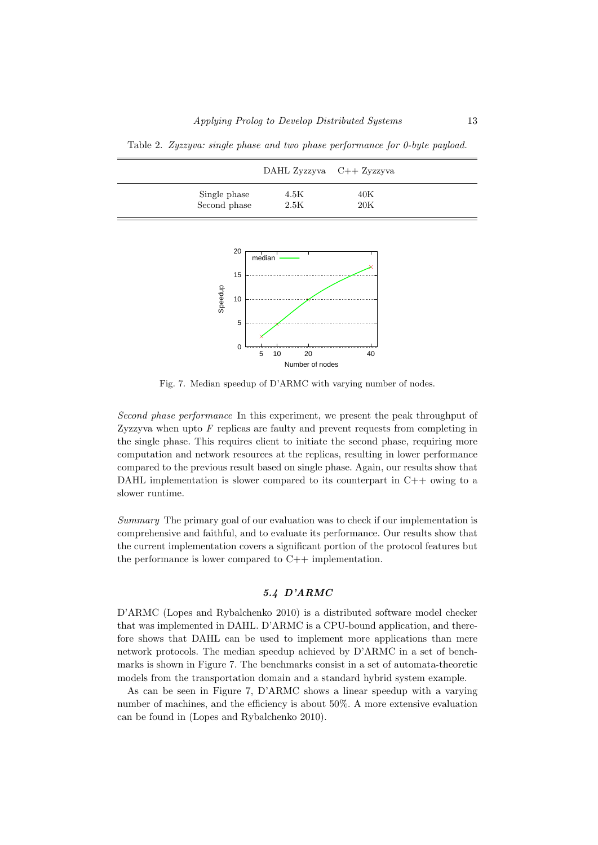Table 2. Zyzzyva: single phase and two phase performance for 0-byte payload.

|              | DAHL Zyzzyva C++ Zyzzyva |     |  |
|--------------|--------------------------|-----|--|
| Single phase | 4.5K                     | 40K |  |
| Second phase | 2.5K                     | 20K |  |



Fig. 7. Median speedup of D'ARMC with varying number of nodes.

Second phase performance In this experiment, we present the peak throughput of Zyzzyva when upto F replicas are faulty and prevent requests from completing in the single phase. This requires client to initiate the second phase, requiring more computation and network resources at the replicas, resulting in lower performance compared to the previous result based on single phase. Again, our results show that DAHL implementation is slower compared to its counterpart in  $C++$  owing to a slower runtime.

Summary The primary goal of our evaluation was to check if our implementation is comprehensive and faithful, and to evaluate its performance. Our results show that the current implementation covers a significant portion of the protocol features but the performance is lower compared to  $C_{++}$  implementation.

# 5.4 D'ARMC

D'ARMC (Lopes and Rybalchenko 2010) is a distributed software model checker that was implemented in DAHL. D'ARMC is a CPU-bound application, and therefore shows that DAHL can be used to implement more applications than mere network protocols. The median speedup achieved by D'ARMC in a set of benchmarks is shown in Figure 7. The benchmarks consist in a set of automata-theoretic models from the transportation domain and a standard hybrid system example.

As can be seen in Figure 7, D'ARMC shows a linear speedup with a varying number of machines, and the efficiency is about 50%. A more extensive evaluation can be found in (Lopes and Rybalchenko 2010).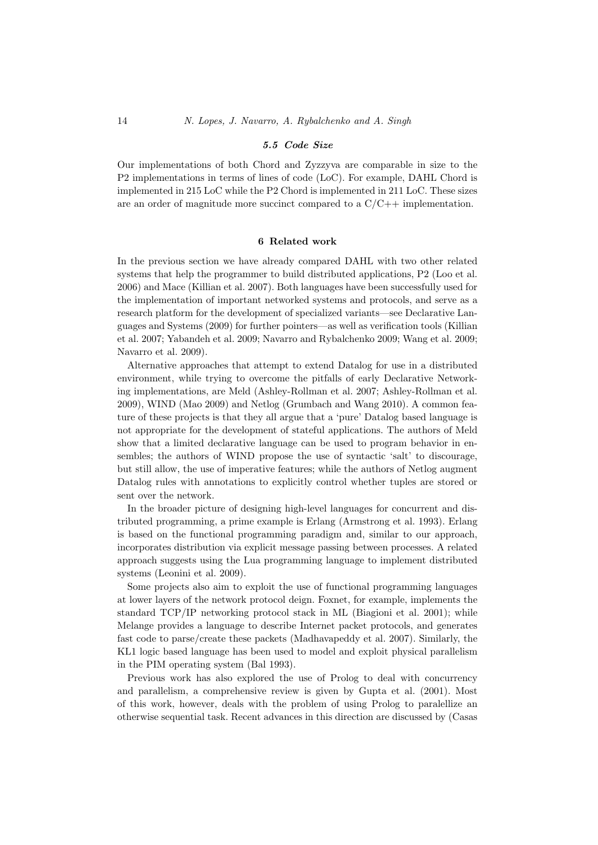# 5.5 Code Size

Our implementations of both Chord and Zyzzyva are comparable in size to the P2 implementations in terms of lines of code (LoC). For example, DAHL Chord is implemented in 215 LoC while the P2 Chord is implemented in 211 LoC. These sizes are an order of magnitude more succinct compared to a  $C/C++$  implementation.

#### 6 Related work

In the previous section we have already compared DAHL with two other related systems that help the programmer to build distributed applications, P2 (Loo et al. 2006) and Mace (Killian et al. 2007). Both languages have been successfully used for the implementation of important networked systems and protocols, and serve as a research platform for the development of specialized variants—see Declarative Languages and Systems (2009) for further pointers—as well as verification tools (Killian et al. 2007; Yabandeh et al. 2009; Navarro and Rybalchenko 2009; Wang et al. 2009; Navarro et al. 2009).

Alternative approaches that attempt to extend Datalog for use in a distributed environment, while trying to overcome the pitfalls of early Declarative Networking implementations, are Meld (Ashley-Rollman et al. 2007; Ashley-Rollman et al. 2009), WIND (Mao 2009) and Netlog (Grumbach and Wang 2010). A common feature of these projects is that they all argue that a 'pure' Datalog based language is not appropriate for the development of stateful applications. The authors of Meld show that a limited declarative language can be used to program behavior in ensembles; the authors of WIND propose the use of syntactic 'salt' to discourage, but still allow, the use of imperative features; while the authors of Netlog augment Datalog rules with annotations to explicitly control whether tuples are stored or sent over the network.

In the broader picture of designing high-level languages for concurrent and distributed programming, a prime example is Erlang (Armstrong et al. 1993). Erlang is based on the functional programming paradigm and, similar to our approach, incorporates distribution via explicit message passing between processes. A related approach suggests using the Lua programming language to implement distributed systems (Leonini et al. 2009).

Some projects also aim to exploit the use of functional programming languages at lower layers of the network protocol deign. Foxnet, for example, implements the standard TCP/IP networking protocol stack in ML (Biagioni et al. 2001); while Melange provides a language to describe Internet packet protocols, and generates fast code to parse/create these packets (Madhavapeddy et al. 2007). Similarly, the KL1 logic based language has been used to model and exploit physical parallelism in the PIM operating system (Bal 1993).

Previous work has also explored the use of Prolog to deal with concurrency and parallelism, a comprehensive review is given by Gupta et al. (2001). Most of this work, however, deals with the problem of using Prolog to paralellize an otherwise sequential task. Recent advances in this direction are discussed by (Casas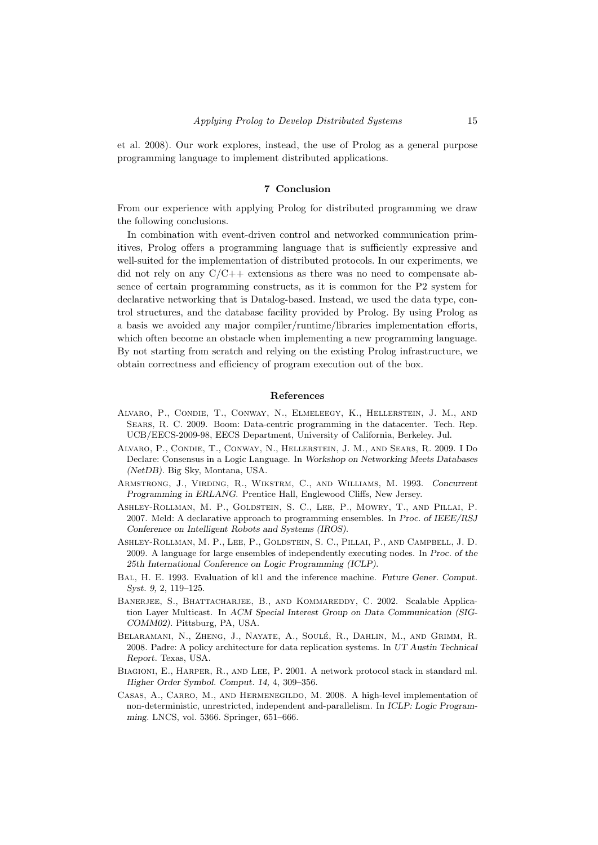et al. 2008). Our work explores, instead, the use of Prolog as a general purpose programming language to implement distributed applications.

## 7 Conclusion

From our experience with applying Prolog for distributed programming we draw the following conclusions.

In combination with event-driven control and networked communication primitives, Prolog offers a programming language that is sufficiently expressive and well-suited for the implementation of distributed protocols. In our experiments, we did not rely on any  $C/C++$  extensions as there was no need to compensate absence of certain programming constructs, as it is common for the P2 system for declarative networking that is Datalog-based. Instead, we used the data type, control structures, and the database facility provided by Prolog. By using Prolog as a basis we avoided any major compiler/runtime/libraries implementation efforts, which often become an obstacle when implementing a new programming language. By not starting from scratch and relying on the existing Prolog infrastructure, we obtain correctness and efficiency of program execution out of the box.

# References

- Alvaro, P., Condie, T., Conway, N., Elmeleegy, K., Hellerstein, J. M., and Sears, R. C. 2009. Boom: Data-centric programming in the datacenter. Tech. Rep. UCB/EECS-2009-98, EECS Department, University of California, Berkeley. Jul.
- Alvaro, P., Condie, T., Conway, N., Hellerstein, J. M., and Sears, R. 2009. I Do Declare: Consensus in a Logic Language. In Workshop on Networking Meets Databases (NetDB). Big Sky, Montana, USA.
- Armstrong, J., Virding, R., Wikstrm, C., and Williams, M. 1993. Concurrent Programming in ERLANG. Prentice Hall, Englewood Cliffs, New Jersey.
- Ashley-Rollman, M. P., Goldstein, S. C., Lee, P., Mowry, T., and Pillai, P. 2007. Meld: A declarative approach to programming ensembles. In Proc. of IEEE/RSJ Conference on Intelligent Robots and Systems (IROS).
- Ashley-Rollman, M. P., Lee, P., Goldstein, S. C., Pillai, P., and Campbell, J. D. 2009. A language for large ensembles of independently executing nodes. In Proc. of the 25th International Conference on Logic Programming (ICLP).
- Bal, H. E. 1993. Evaluation of kl1 and the inference machine. Future Gener. Comput. Syst. 9, 2, 119–125.
- BANERJEE, S., BHATTACHARJEE, B., AND KOMMAREDDY, C. 2002. Scalable Application Layer Multicast. In ACM Special Interest Group on Data Communication (SIG-COMM02). Pittsburg, PA, USA.
- BELARAMANI, N., ZHENG, J., NAYATE, A., SOULÉ, R., DAHLIN, M., AND GRIMM, R. 2008. Padre: A policy architecture for data replication systems. In UT Austin Technical Report. Texas, USA.
- Biagioni, E., Harper, R., and Lee, P. 2001. A network protocol stack in standard ml. Higher Order Symbol. Comput. 14, 4, 309–356.
- Casas, A., Carro, M., and Hermenegildo, M. 2008. A high-level implementation of non-deterministic, unrestricted, independent and-parallelism. In ICLP: Logic Programming. LNCS, vol. 5366. Springer, 651–666.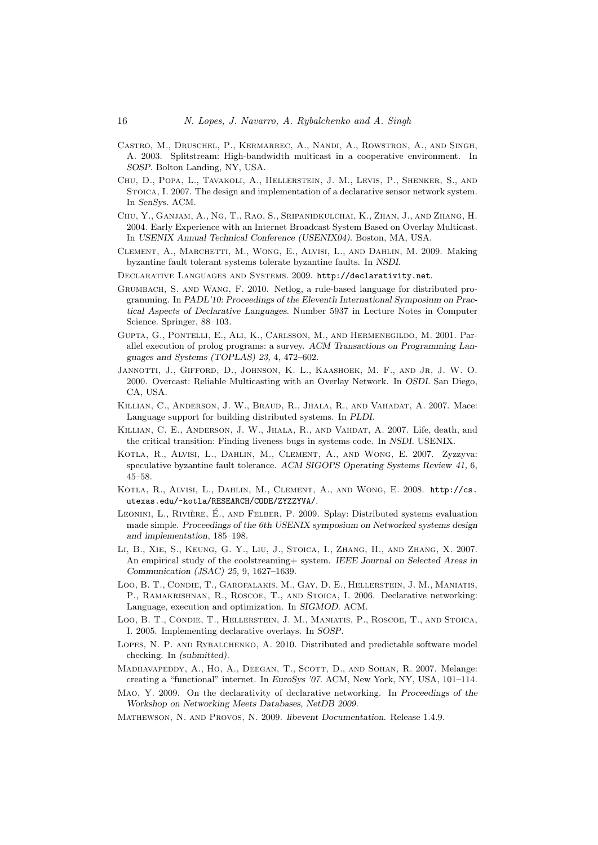- Castro, M., Druschel, P., Kermarrec, A., Nandi, A., Rowstron, A., and Singh, A. 2003. Splitstream: High-bandwidth multicast in a cooperative environment. In SOSP. Bolton Landing, NY, USA.
- Chu, D., Popa, L., Tavakoli, A., Hellerstein, J. M., Levis, P., Shenker, S., and Stoica, I. 2007. The design and implementation of a declarative sensor network system. In SenSys. ACM.
- Chu, Y., Ganjam, A., Ng, T., Rao, S., Sripanidkulchai, K., Zhan, J., and Zhang, H. 2004. Early Experience with an Internet Broadcast System Based on Overlay Multicast. In USENIX Annual Technical Conference (USENIX04). Boston, MA, USA.
- Clement, A., Marchetti, M., Wong, E., Alvisi, L., and Dahlin, M. 2009. Making byzantine fault tolerant systems tolerate byzantine faults. In NSDI.
- Declarative Languages and Systems. 2009. http://declarativity.net.
- Grumbach, S. and Wang, F. 2010. Netlog, a rule-based language for distributed programming. In PADL'10: Proceedings of the Eleventh International Symposium on Practical Aspects of Declarative Languages. Number 5937 in Lecture Notes in Computer Science. Springer, 88–103.
- Gupta, G., Pontelli, E., Ali, K., Carlsson, M., and Hermenegildo, M. 2001. Parallel execution of prolog programs: a survey. ACM Transactions on Programming Languages and Systems (TOPLAS) 23, 4, 472–602.
- Jannotti, J., Gifford, D., Johnson, K. L., Kaashoek, M. F., and Jr, J. W. O. 2000. Overcast: Reliable Multicasting with an Overlay Network. In OSDI. San Diego, CA, USA.
- Killian, C., Anderson, J. W., Braud, R., Jhala, R., and Vahadat, A. 2007. Mace: Language support for building distributed systems. In PLDI.
- Killian, C. E., Anderson, J. W., Jhala, R., and Vahdat, A. 2007. Life, death, and the critical transition: Finding liveness bugs in systems code. In NSDI. USENIX.
- Kotla, R., Alvisi, L., Dahlin, M., Clement, A., and Wong, E. 2007. Zyzzyva: speculative byzantine fault tolerance. ACM SIGOPS Operating Systems Review 41, 6, 45–58.
- Kotla, R., Alvisi, L., Dahlin, M., Clement, A., and Wong, E. 2008. http://cs. utexas.edu/~kotla/RESEARCH/CODE/ZYZZYVA/.
- LEONINI, L., RIVIÈRE, É., AND FELBER, P. 2009. Splay: Distributed systems evaluation made simple. Proceedings of the 6th USENIX symposium on Networked systems design and implementation, 185–198.
- Li, B., Xie, S., Keung, G. Y., Liu, J., Stoica, I., Zhang, H., and Zhang, X. 2007. An empirical study of the coolstreaming+ system. IEEE Journal on Selected Areas in Communication (JSAC) 25, 9, 1627–1639.
- Loo, B. T., Condie, T., Garofalakis, M., Gay, D. E., Hellerstein, J. M., Maniatis, P., Ramakrishnan, R., Roscoe, T., and Stoica, I. 2006. Declarative networking: Language, execution and optimization. In SIGMOD. ACM.
- Loo, B. T., Condie, T., Hellerstein, J. M., Maniatis, P., Roscoe, T., and Stoica, I. 2005. Implementing declarative overlays. In SOSP.
- LOPES, N. P. AND RYBALCHENKO, A. 2010. Distributed and predictable software model checking. In (submitted).
- Madhavapeddy, A., Ho, A., Deegan, T., Scott, D., and Sohan, R. 2007. Melange: creating a "functional" internet. In EuroSys '07. ACM, New York, NY, USA, 101–114.
- Mao, Y. 2009. On the declarativity of declarative networking. In Proceedings of the Workshop on Networking Meets Databases, NetDB 2009.
- Mathewson, N. and Provos, N. 2009. libevent Documentation. Release 1.4.9.